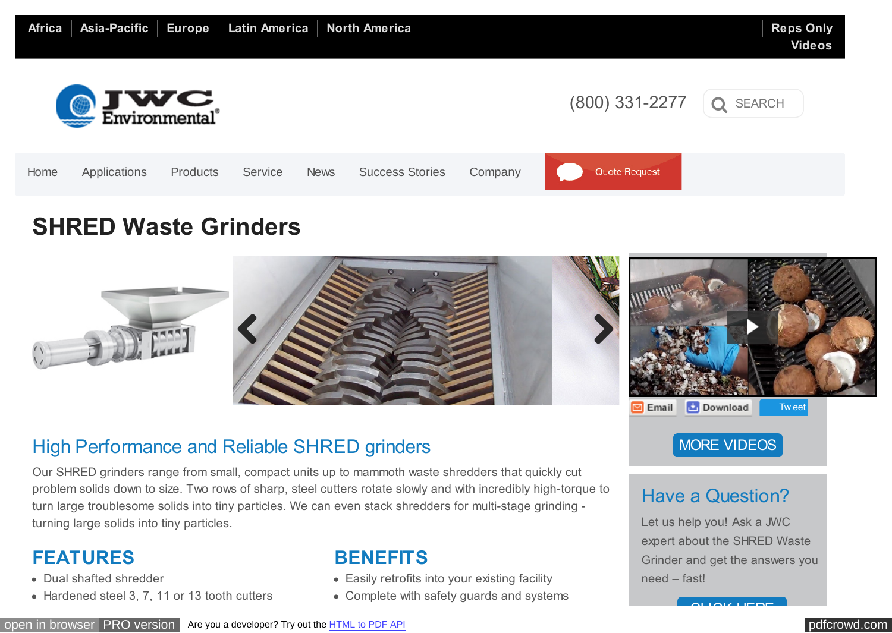<span id="page-0-0"></span>

## **SHRED Waste Grinders**



### High Performance and Reliable SHRED grinders

Our SHRED grinders range from small, compact units up to mammoth waste shredders that quickly cut problem solids down to size. Two rows of sharp, steel cutters rotate slowly and with incredibly high-torque to turn large troublesome solids into tiny particles. We can even stack shredders for multi-stage grinding turning large solids into tiny particles.

#### **FEATURES**

- Dual shafted shredder
- Hardened steel 3, 7, 11 or 13 tooth cutters

#### **BENEFITS**

- Easily retrofits into your existing facility
- Complete with safety guards and systems

#### [MORE VIDEOS](http://www.jwce.com/videos)

## Have a Question?

Let us help you! Ask a JWC expert about the SHRED Waste Grinder and get the answers you need – fast!

[CLICK HERE](http://www.jwce.com/ask-an-expert/)

[open in browser](http://pdfcrowd.com/redirect/?url=http%3a%2f%2fwww.jwce.com%2find%2fshred-waste-shredders%2f&id=ma-151210010901-b6ed520b) [PRO version](http://pdfcrowd.com/customize/) Are you a developer? Try out th[e HTML to PDF API](http://pdfcrowd.com/html-to-pdf-api/?ref=pdf) [pdfcrowd.com](http://pdfcrowd.com)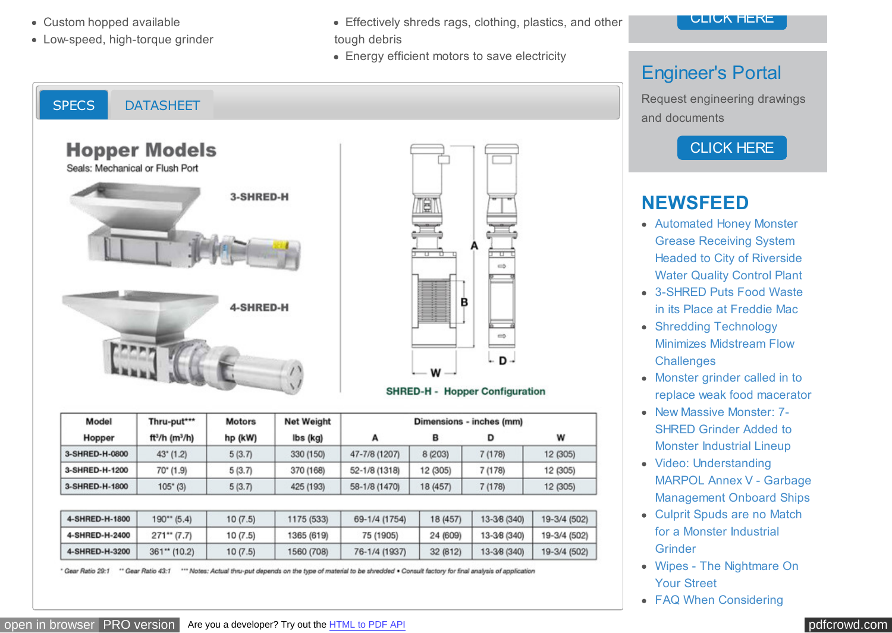- Custom hopped available
- Low-speed, high-torque grinder

SPECS [DATASHEET](#page-0-0)

- Effectively shreds rags, clothing, plastics, and other tough debris
- Energy efficient motors to save electricity



### Engineer's Portal

Request engineering drawings and documents

#### [CLICK HERE](http://www.jwce.com/engineers/)

#### **NEWSFEED**

- Automated Honey Monster Grease Receiving System Headed to City of Riverside [Water Quality Control Plant](http://www.jwce.com/muni/?p=5751)
- [3-SHRED Puts Food Waste](http://www.jwce.com/ind/?p=6587) in its Place at Freddie Mac
- Shredding Technology [Minimizes Midstream Flow](http://www.jwce.com/ind/?p=6441) **Challenges**
- Monster grinder called in to [replace weak food macerator](http://www.jwce.com/ind/?p=6407)
- New Massive Monster: 7-[SHRED Grinder Added to](http://www.jwce.com/ind/?p=6397) Monster Industrial Lineup
- Video: Understanding [MARPOL Annex V - Garbage](http://www.jwce.com/ind/?p=6381) Management Onboard Ships
- [Culprit Spuds are no Match](http://www.jwce.com/ind/?p=6368) for a Monster Industrial **Grinder**
- [Wipes The Nightmare On](http://www.jwce.com/ind/?p=6359) Your Street
- [FAQ When Considering](http://www.jwce.com/ind/?p=6376)

**Hopper Models** Seals: Mechanical or Flush Port 3-SHRED-H 4-SHRED-H Model They putter **Mataux** Not Wainht



#### **SHRED-H - Hopper Configuration**

Dimensione inches (mm)

| iiiu-put                               | <b>MOLOIS</b><br>hp (kW) | <b>IAGE ARGINIE</b><br>lbs (kg) | <b>Dillielisions - literies fillini</b> |          |              |              |
|----------------------------------------|--------------------------|---------------------------------|-----------------------------------------|----------|--------------|--------------|
| ft <sup>3</sup> /h (m <sup>3</sup> /h) |                          |                                 | А                                       | в        | D            | W            |
| $43^{\circ}$ (1.2)                     | 5(3.7)                   | 330 (150)                       | 47-7/8 (1207)                           | 8 (203)  | 7(178)       | 12 (305)     |
| $70^{\circ}$ (1.9)                     | 5(3.7)                   | 370 (168)                       | 52-1/8 (1318)                           | 12 (305) | 7 (178)      | 12 (305)     |
| $105'$ (3)                             | 5(3.7)                   | 425 (193)                       | 58-1/8 (1470)                           | 18 (457) | 7(178)       | 12 (305)     |
|                                        |                          |                                 |                                         |          |              |              |
| $190**$ (5.4)                          | 10(7.5)                  | 1175 (533)                      | 69-1/4 (1754)                           | 18 (457) | 13-3/8 (340) | 19-3/4 (502) |
| $271**$ (7.7)                          | 10(7.5)                  | 1365 (619)                      | 75 (1905)                               | 24 (609) | 13-3/8 (340) | 19-3/4 (502) |
| $361**$ (10.2)                         | 10(7.5)                  | 1560 (708)                      | 76-1/4 (1937)                           |          | 13-3/8 (340) | 19-3/4 (502) |
|                                        |                          |                                 |                                         |          |              | 32 (812)     |

\* Gear Ratio 29:1 "" Gear Ratio 43:1 "" Notes: Actual thru-put depends on the type of material to be shredded . Consult factory for final analysis of application